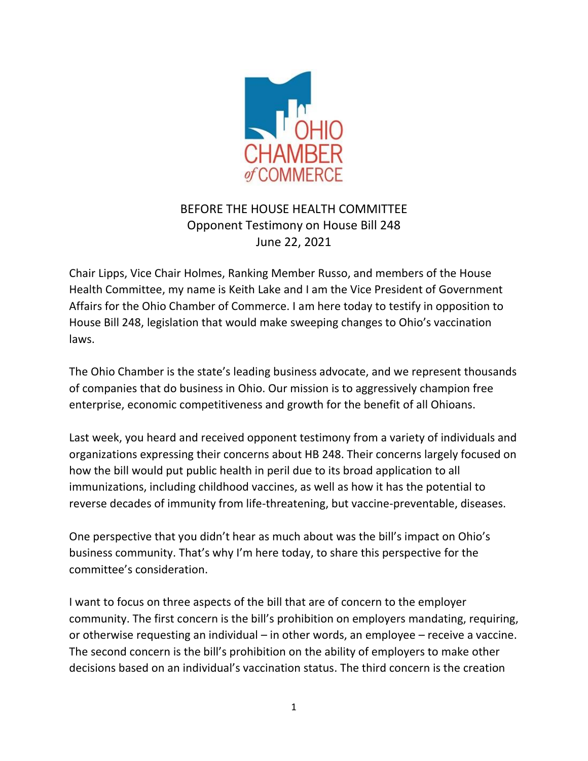

## BEFORE THE HOUSE HEALTH COMMITTEE Opponent Testimony on House Bill 248 June 22, 2021

Chair Lipps, Vice Chair Holmes, Ranking Member Russo, and members of the House Health Committee, my name is Keith Lake and I am the Vice President of Government Affairs for the Ohio Chamber of Commerce. I am here today to testify in opposition to House Bill 248, legislation that would make sweeping changes to Ohio's vaccination laws.

The Ohio Chamber is the state's leading business advocate, and we represent thousands of companies that do business in Ohio. Our mission is to aggressively champion free enterprise, economic competitiveness and growth for the benefit of all Ohioans.

Last week, you heard and received opponent testimony from a variety of individuals and organizations expressing their concerns about HB 248. Their concerns largely focused on how the bill would put public health in peril due to its broad application to all immunizations, including childhood vaccines, as well as how it has the potential to reverse decades of immunity from life-threatening, but vaccine-preventable, diseases.

One perspective that you didn't hear as much about was the bill's impact on Ohio's business community. That's why I'm here today, to share this perspective for the committee's consideration.

I want to focus on three aspects of the bill that are of concern to the employer community. The first concern is the bill's prohibition on employers mandating, requiring, or otherwise requesting an individual – in other words, an employee – receive a vaccine. The second concern is the bill's prohibition on the ability of employers to make other decisions based on an individual's vaccination status. The third concern is the creation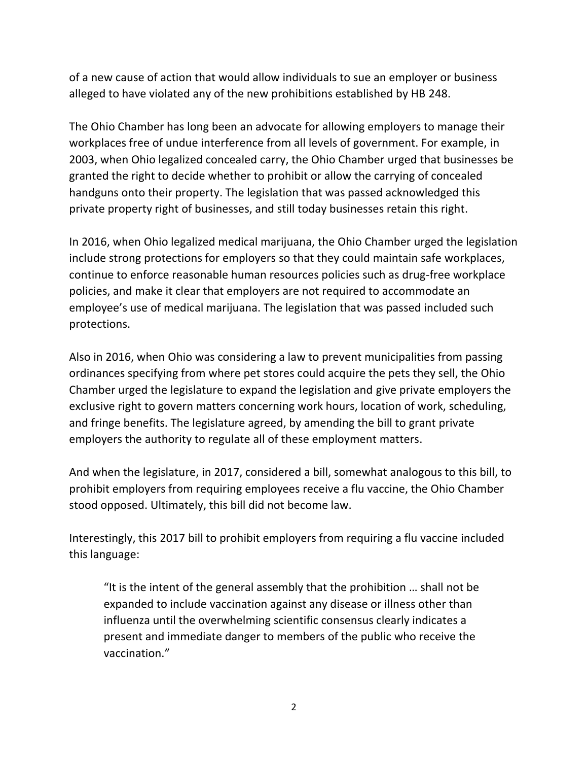of a new cause of action that would allow individuals to sue an employer or business alleged to have violated any of the new prohibitions established by HB 248.

The Ohio Chamber has long been an advocate for allowing employers to manage their workplaces free of undue interference from all levels of government. For example, in 2003, when Ohio legalized concealed carry, the Ohio Chamber urged that businesses be granted the right to decide whether to prohibit or allow the carrying of concealed handguns onto their property. The legislation that was passed acknowledged this private property right of businesses, and still today businesses retain this right.

In 2016, when Ohio legalized medical marijuana, the Ohio Chamber urged the legislation include strong protections for employers so that they could maintain safe workplaces, continue to enforce reasonable human resources policies such as drug-free workplace policies, and make it clear that employers are not required to accommodate an employee's use of medical marijuana. The legislation that was passed included such protections.

Also in 2016, when Ohio was considering a law to prevent municipalities from passing ordinances specifying from where pet stores could acquire the pets they sell, the Ohio Chamber urged the legislature to expand the legislation and give private employers the exclusive right to govern matters concerning work hours, location of work, scheduling, and fringe benefits. The legislature agreed, by amending the bill to grant private employers the authority to regulate all of these employment matters.

And when the legislature, in 2017, considered a bill, somewhat analogous to this bill, to prohibit employers from requiring employees receive a flu vaccine, the Ohio Chamber stood opposed. Ultimately, this bill did not become law.

Interestingly, this 2017 bill to prohibit employers from requiring a flu vaccine included this language:

"It is the intent of the general assembly that the prohibition … shall not be expanded to include vaccination against any disease or illness other than influenza until the overwhelming scientific consensus clearly indicates a present and immediate danger to members of the public who receive the vaccination."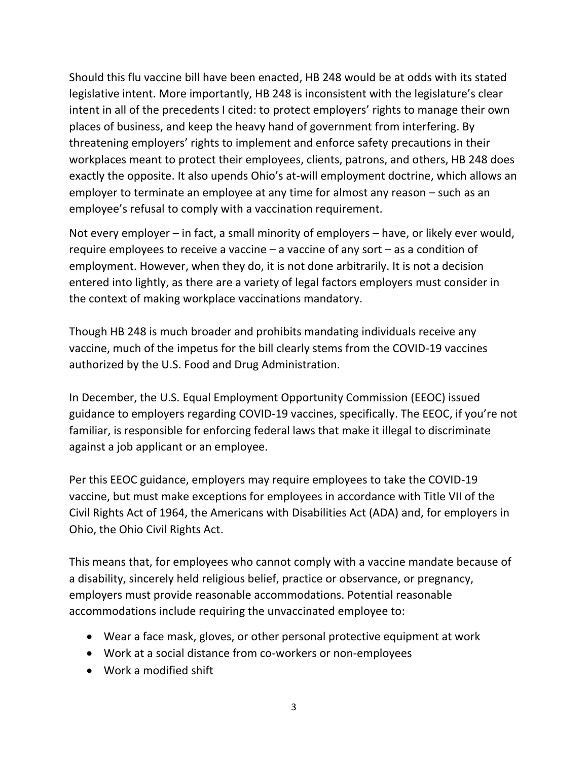Should this flu vaccine bill have been enacted, HB 248 would be at odds with its stated legislative intent. More importantly, HB 248 is inconsistent with the legislature's clear intent in all of the precedents I cited: to protect employers' rights to manage their own places of business, and keep the heavy hand of government from interfering. By threatening employers' rights to implement and enforce safety precautions in their workplaces meant to protect their employees, clients, patrons, and others, HB 248 does exactly the opposite. It also upends Ohio's at-will employment doctrine, which allows an employer to terminate an employee at any time for almost any reason – such as an employee's refusal to comply with a vaccination requirement.

Not every employer – in fact, a small minority of employers – have, or likely ever would, require employees to receive a vaccine – a vaccine of any sort – as a condition of employment. However, when they do, it is not done arbitrarily. It is not a decision entered into lightly, as there are a variety of legal factors employers must consider in the context of making workplace vaccinations mandatory.

Though HB 248 is much broader and prohibits mandating individuals receive any vaccine, much of the impetus for the bill clearly stems from the COVID-19 vaccines authorized by the U.S. Food and Drug Administration.

In December, the U.S. Equal Employment Opportunity Commission (EEOC) issued guidance to employers regarding COVID-19 vaccines, specifically. The EEOC, if you're not familiar, is responsible for enforcing federal laws that make it illegal to discriminate against a job applicant or an employee.

Per this EEOC guidance, employers may require employees to take the COVID-19 vaccine, but must make exceptions for employees in accordance with Title VII of the Civil Rights Act of 1964, the Americans with Disabilities Act (ADA) and, for employers in Ohio, the Ohio Civil Rights Act.

This means that, for employees who cannot comply with a vaccine mandate because of a disability, sincerely held religious belief, practice or observance, or pregnancy, employers must provide reasonable accommodations. Potential reasonable accommodations include requiring the unvaccinated employee to:

- Wear a face mask, gloves, or other personal protective equipment at work
- Work at a social distance from co-workers or non-employees
- Work a modified shift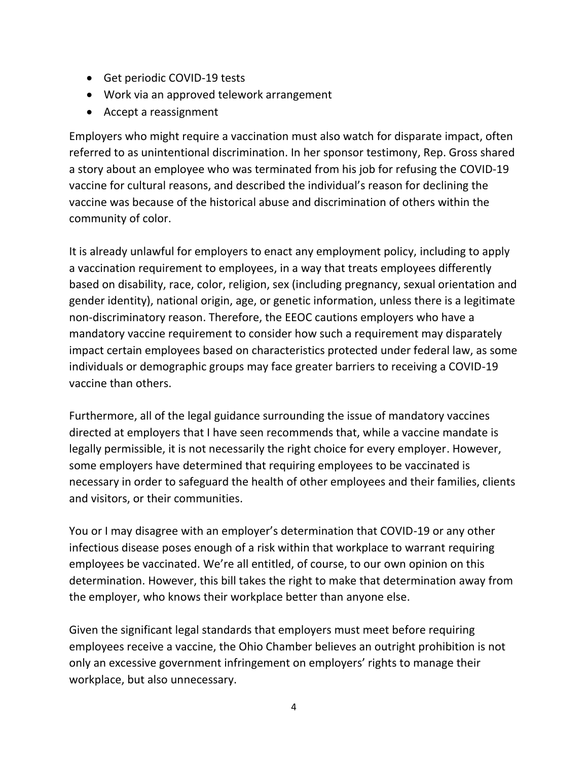- Get periodic COVID-19 tests
- Work via an approved telework arrangement
- Accept a reassignment

Employers who might require a vaccination must also watch for disparate impact, often referred to as unintentional discrimination. In her sponsor testimony, Rep. Gross shared a story about an employee who was terminated from his job for refusing the COVID-19 vaccine for cultural reasons, and described the individual's reason for declining the vaccine was because of the historical abuse and discrimination of others within the community of color.

It is already unlawful for employers to enact any employment policy, including to apply a vaccination requirement to employees, in a way that treats employees differently based on disability, race, color, religion, sex (including pregnancy, sexual orientation and gender identity), national origin, age, or genetic information, unless there is a legitimate non-discriminatory reason. Therefore, the EEOC cautions employers who have a mandatory vaccine requirement to consider how such a requirement may disparately impact certain employees based on characteristics protected under federal law, as some individuals or demographic groups may face greater barriers to receiving a COVID-19 vaccine than others.

Furthermore, all of the legal guidance surrounding the issue of mandatory vaccines directed at employers that I have seen recommends that, while a vaccine mandate is legally permissible, it is not necessarily the right choice for every employer. However, some employers have determined that requiring employees to be vaccinated is necessary in order to safeguard the health of other employees and their families, clients and visitors, or their communities.

You or I may disagree with an employer's determination that COVID-19 or any other infectious disease poses enough of a risk within that workplace to warrant requiring employees be vaccinated. We're all entitled, of course, to our own opinion on this determination. However, this bill takes the right to make that determination away from the employer, who knows their workplace better than anyone else.

Given the significant legal standards that employers must meet before requiring employees receive a vaccine, the Ohio Chamber believes an outright prohibition is not only an excessive government infringement on employers' rights to manage their workplace, but also unnecessary.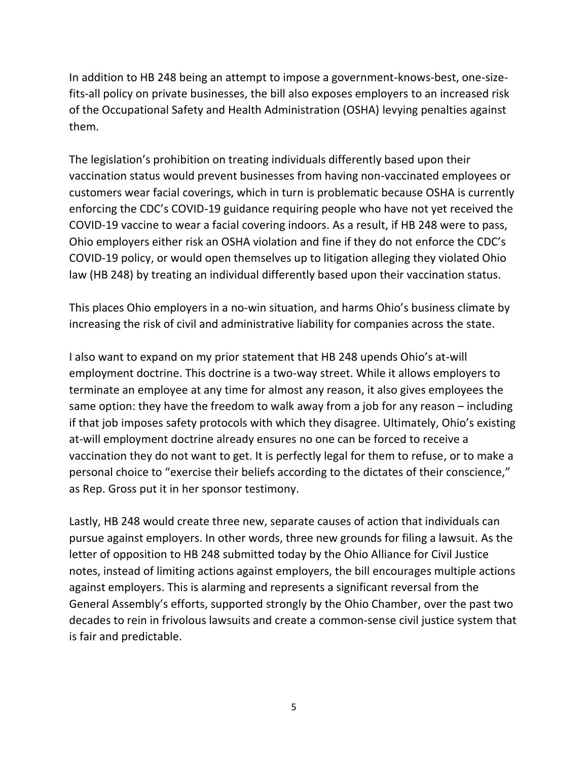In addition to HB 248 being an attempt to impose a government-knows-best, one-sizefits-all policy on private businesses, the bill also exposes employers to an increased risk of the Occupational Safety and Health Administration (OSHA) levying penalties against them.

The legislation's prohibition on treating individuals differently based upon their vaccination status would prevent businesses from having non-vaccinated employees or customers wear facial coverings, which in turn is problematic because OSHA is currently enforcing the CDC's COVID-19 guidance requiring people who have not yet received the COVID-19 vaccine to wear a facial covering indoors. As a result, if HB 248 were to pass, Ohio employers either risk an OSHA violation and fine if they do not enforce the CDC's COVID-19 policy, or would open themselves up to litigation alleging they violated Ohio law (HB 248) by treating an individual differently based upon their vaccination status.

This places Ohio employers in a no-win situation, and harms Ohio's business climate by increasing the risk of civil and administrative liability for companies across the state.

I also want to expand on my prior statement that HB 248 upends Ohio's at-will employment doctrine. This doctrine is a two-way street. While it allows employers to terminate an employee at any time for almost any reason, it also gives employees the same option: they have the freedom to walk away from a job for any reason – including if that job imposes safety protocols with which they disagree. Ultimately, Ohio's existing at-will employment doctrine already ensures no one can be forced to receive a vaccination they do not want to get. It is perfectly legal for them to refuse, or to make a personal choice to "exercise their beliefs according to the dictates of their conscience," as Rep. Gross put it in her sponsor testimony.

Lastly, HB 248 would create three new, separate causes of action that individuals can pursue against employers. In other words, three new grounds for filing a lawsuit. As the letter of opposition to HB 248 submitted today by the Ohio Alliance for Civil Justice notes, instead of limiting actions against employers, the bill encourages multiple actions against employers. This is alarming and represents a significant reversal from the General Assembly's efforts, supported strongly by the Ohio Chamber, over the past two decades to rein in frivolous lawsuits and create a common-sense civil justice system that is fair and predictable.